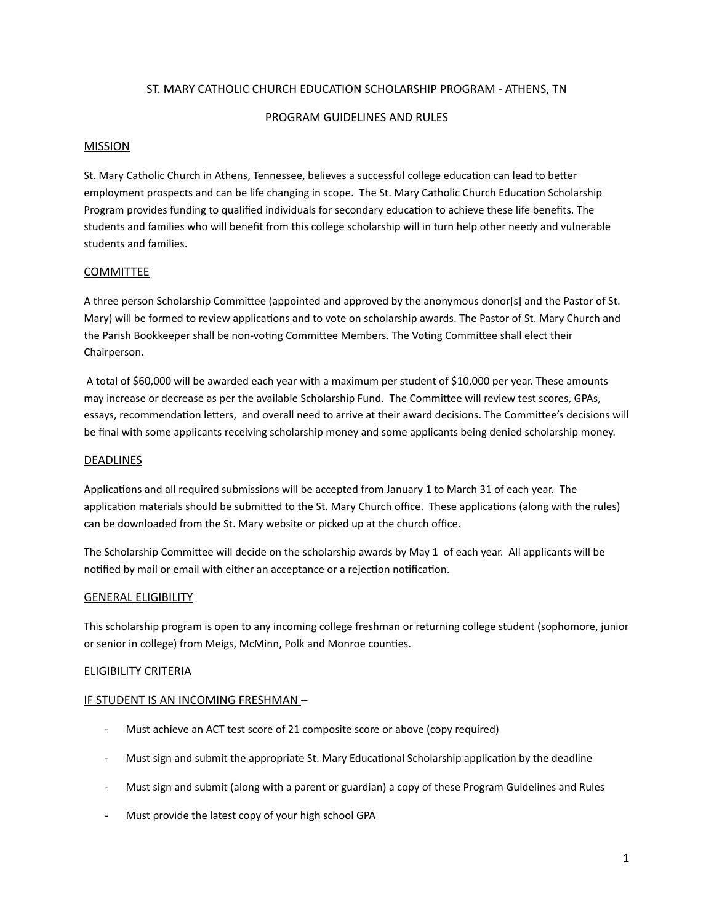## ST. MARY CATHOLIC CHURCH EDUCATION SCHOLARSHIP PROGRAM - ATHENS, TN

#### PROGRAM GUIDELINES AND RULES

#### **MISSION**

St. Mary Catholic Church in Athens, Tennessee, believes a successful college education can lead to better employment prospects and can be life changing in scope. The St. Mary Catholic Church Education Scholarship Program provides funding to qualified individuals for secondary education to achieve these life benefits. The students and families who will benefit from this college scholarship will in turn help other needy and vulnerable students and families.

## **COMMITTEE**

A three person Scholarship Committee (appointed and approved by the anonymous donor[s] and the Pastor of St. Mary) will be formed to review applications and to vote on scholarship awards. The Pastor of St. Mary Church and the Parish Bookkeeper shall be non-voting Committee Members. The Voting Committee shall elect their Chairperson.

 A total of \$60,000 will be awarded each year with a maximum per student of \$10,000 per year. These amounts may increase or decrease as per the available Scholarship Fund. The Committee will review test scores, GPAs, essays, recommendation letters, and overall need to arrive at their award decisions. The Committee's decisions will be final with some applicants receiving scholarship money and some applicants being denied scholarship money.

#### DEADLINES

Applications and all required submissions will be accepted from January 1 to March 31 of each year. The application materials should be submitted to the St. Mary Church office. These applications (along with the rules) can be downloaded from the St. Mary website or picked up at the church office.

The Scholarship Committee will decide on the scholarship awards by May 1 of each year. All applicants will be notified by mail or email with either an acceptance or a rejection notification.

#### GENERAL ELIGIBILITY

This scholarship program is open to any incoming college freshman or returning college student (sophomore, junior or senior in college) from Meigs, McMinn, Polk and Monroe counties.

## ELIGIBILITY CRITERIA

## IF STUDENT IS AN INCOMING FRESHMAN –

- Must achieve an ACT test score of 21 composite score or above (copy required)
- Must sign and submit the appropriate St. Mary Educational Scholarship application by the deadline
- Must sign and submit (along with a parent or guardian) a copy of these Program Guidelines and Rules
- Must provide the latest copy of your high school GPA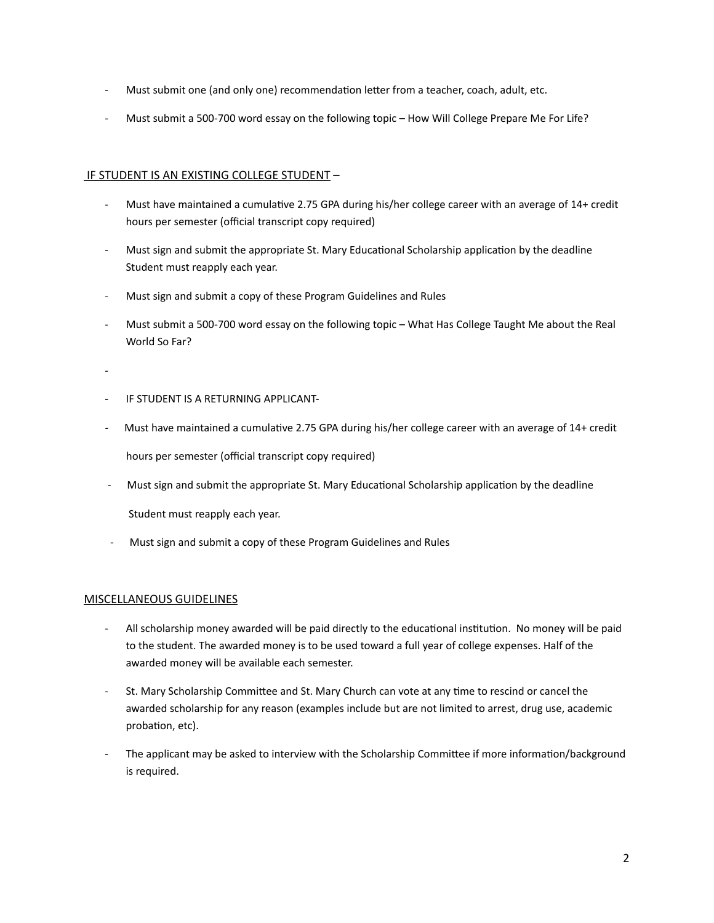- Must submit one (and only one) recommendation letter from a teacher, coach, adult, etc.
- Must submit a 500-700 word essay on the following topic How Will College Prepare Me For Life?

## IF STUDENT IS AN EXISTING COLLEGE STUDENT –

- Must have maintained a cumulative 2.75 GPA during his/her college career with an average of 14+ credit hours per semester (official transcript copy required)
- Must sign and submit the appropriate St. Mary Educational Scholarship application by the deadline Student must reapply each year.
- Must sign and submit a copy of these Program Guidelines and Rules
- Must submit a 500-700 word essay on the following topic What Has College Taught Me about the Real World So Far?
- -
- IF STUDENT IS A RETURNING APPLICANT-
- Must have maintained a cumulative 2.75 GPA during his/her college career with an average of 14+ credit

hours per semester (official transcript copy required)

- Must sign and submit the appropriate St. Mary Educational Scholarship application by the deadline Student must reapply each year.
- Must sign and submit a copy of these Program Guidelines and Rules

## MISCELLANEOUS GUIDELINES

- All scholarship money awarded will be paid directly to the educational institution. No money will be paid to the student. The awarded money is to be used toward a full year of college expenses. Half of the awarded money will be available each semester.
- St. Mary Scholarship Committee and St. Mary Church can vote at any time to rescind or cancel the awarded scholarship for any reason (examples include but are not limited to arrest, drug use, academic probation, etc).
- The applicant may be asked to interview with the Scholarship Committee if more information/background is required.